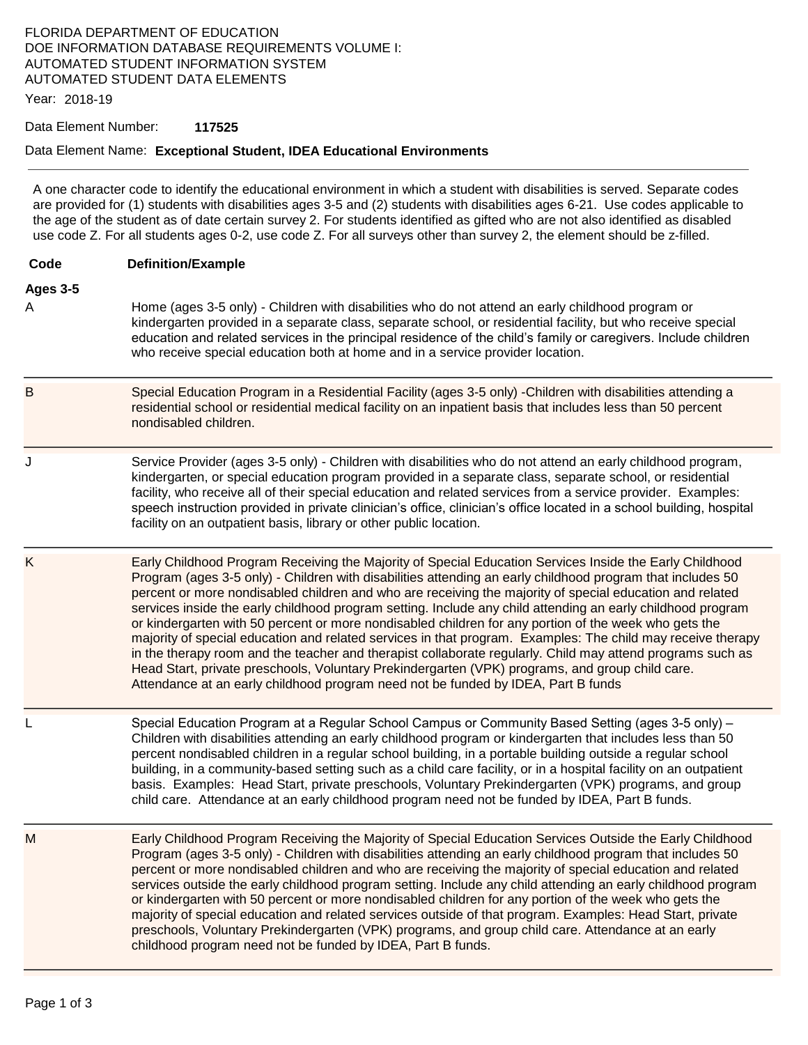# FLORIDA DEPARTMENT OF EDUCATION DOE INFORMATION DATABASE REQUIREMENTS VOLUME I: AUTOMATED STUDENT INFORMATION SYSTEM AUTOMATED STUDENT DATA ELEMENTS

Year: 2018-19

#### Data Element Number: **117525**

### Data Element Name: **Exceptional Student, IDEA Educational Environments**

A one character code to identify the educational environment in which a student with disabilities is served. Separate codes are provided for (1) students with disabilities ages 3-5 and (2) students with disabilities ages 6-21. Use codes applicable to the age of the student as of date certain survey 2. For students identified as gifted who are not also identified as disabled use code Z. For all students ages 0-2, use code Z. For all surveys other than survey 2, the element should be z-filled.

| Code | <b>Definition/Example</b> |
|------|---------------------------|
|      |                           |

# **Ages 3-5**

- A Home (ages 3-5 only) Children with disabilities who do not attend an early childhood program or kindergarten provided in a separate class, separate school, or residential facility, but who receive special education and related services in the principal residence of the child's family or caregivers. Include children who receive special education both at home and in a service provider location.
- B Special Education Program in a Residential Facility (ages 3-5 only) -Children with disabilities attending a residential school or residential medical facility on an inpatient basis that includes less than 50 percent nondisabled children.
- J Service Provider (ages 3-5 only) Children with disabilities who do not attend an early childhood program, kindergarten, or special education program provided in a separate class, separate school, or residential facility, who receive all of their special education and related services from a service provider. Examples: speech instruction provided in private clinician's office, clinician's office located in a school building, hospital facility on an outpatient basis, library or other public location.
- K Early Childhood Program Receiving the Majority of Special Education Services Inside the Early Childhood Program (ages 3-5 only) - Children with disabilities attending an early childhood program that includes 50 percent or more nondisabled children and who are receiving the majority of special education and related services inside the early childhood program setting. Include any child attending an early childhood program or kindergarten with 50 percent or more nondisabled children for any portion of the week who gets the majority of special education and related services in that program. Examples: The child may receive therapy in the therapy room and the teacher and therapist collaborate regularly. Child may attend programs such as Head Start, private preschools, Voluntary Prekindergarten (VPK) programs, and group child care. Attendance at an early childhood program need not be funded by IDEA, Part B funds
	- L Special Education Program at a Regular School Campus or Community Based Setting (ages 3-5 only) Children with disabilities attending an early childhood program or kindergarten that includes less than 50 percent nondisabled children in a regular school building, in a portable building outside a regular school building, in a community-based setting such as a child care facility, or in a hospital facility on an outpatient basis. Examples: Head Start, private preschools, Voluntary Prekindergarten (VPK) programs, and group child care. Attendance at an early childhood program need not be funded by IDEA, Part B funds.
- M Early Childhood Program Receiving the Majority of Special Education Services Outside the Early Childhood Program (ages 3-5 only) - Children with disabilities attending an early childhood program that includes 50 percent or more nondisabled children and who are receiving the majority of special education and related services outside the early childhood program setting. Include any child attending an early childhood program or kindergarten with 50 percent or more nondisabled children for any portion of the week who gets the majority of special education and related services outside of that program. Examples: Head Start, private preschools, Voluntary Prekindergarten (VPK) programs, and group child care. Attendance at an early childhood program need not be funded by IDEA, Part B funds.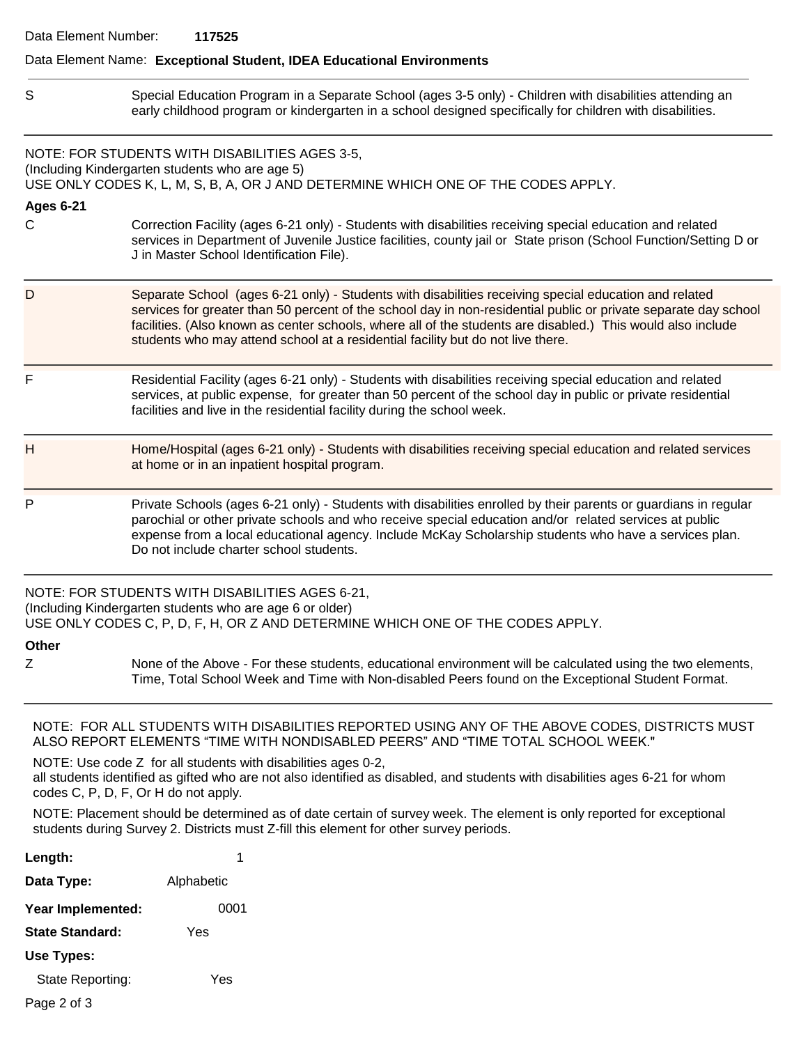### Data Element Name: **Exceptional Student, IDEA Educational Environments**

S Special Education Program in a Separate School (ages 3-5 only) - Children with disabilities attending an early childhood program or kindergarten in a school designed specifically for children with disabilities.

NOTE: FOR STUDENTS WITH DISABILITIES AGES 3-5, (Including Kindergarten students who are age 5) USE ONLY CODES K, L, M, S, B, A, OR J AND DETERMINE WHICH ONE OF THE CODES APPLY.

#### **Ages 6-21**

- C Correction Facility (ages 6-21 only) Students with disabilities receiving special education and related services in Department of Juvenile Justice facilities, county jail or State prison (School Function/Setting D or J in Master School Identification File).
- D Separate School (ages 6-21 only) Students with disabilities receiving special education and related services for greater than 50 percent of the school day in non-residential public or private separate day school facilities. (Also known as center schools, where all of the students are disabled.) This would also include students who may attend school at a residential facility but do not live there.
- F Residential Facility (ages 6-21 only) Students with disabilities receiving special education and related services, at public expense, for greater than 50 percent of the school day in public or private residential facilities and live in the residential facility during the school week.
- H Home/Hospital (ages 6-21 only) Students with disabilities receiving special education and related services at home or in an inpatient hospital program.
- P Private Schools (ages 6-21 only) Students with disabilities enrolled by their parents or guardians in regular parochial or other private schools and who receive special education and/or related services at public expense from a local educational agency. Include McKay Scholarship students who have a services plan. Do not include charter school students.

NOTE: FOR STUDENTS WITH DISABILITIES AGES 6-21, (Including Kindergarten students who are age 6 or older) USE ONLY CODES C, P, D, F, H, OR Z AND DETERMINE WHICH ONE OF THE CODES APPLY.

**Other** 

Z None of the Above - For these students, educational environment will be calculated using the two elements, Time, Total School Week and Time with Non-disabled Peers found on the Exceptional Student Format.

NOTE: FOR ALL STUDENTS WITH DISABILITIES REPORTED USING ANY OF THE ABOVE CODES, DISTRICTS MUST ALSO REPORT ELEMENTS "TIME WITH NONDISABLED PEERS" AND "TIME TOTAL SCHOOL WEEK."

NOTE: Use code Z for all students with disabilities ages 0-2, all students identified as gifted who are not also identified as disabled, and students with disabilities ages 6-21 for whom codes C, P, D, F, Or H do not apply.

NOTE: Placement should be determined as of date certain of survey week. The element is only reported for exceptional students during Survey 2. Districts must Z-fill this element for other survey periods.

| 1          |
|------------|
| Alphabetic |
| 0001       |
| Yes        |
|            |
| Yes        |
|            |